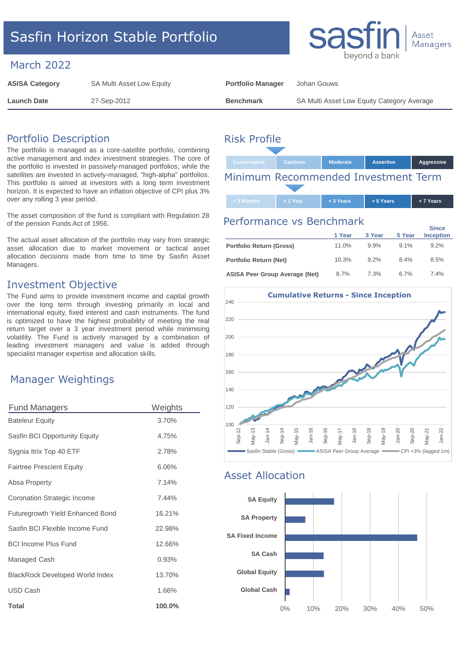# Sasfin Horizon Stable Portfolio

#### March 2022

| <b>ASISA Category</b> | SA Multi Asset Low Equity | <b>Portfolio Manager</b> | Johan Gouws                                |
|-----------------------|---------------------------|--------------------------|--------------------------------------------|
| Launch Date           | 27-Sep-2012               | <b>Benchmark</b>         | SA Multi Asset Low Equity Category Average |

### Portfolio Description

The portfolio is managed as a core-satellite portfolio, combining active management and index investment strategies. The core of the portfolio is invested in passively-managed portfolios, while the satellites are invested in actively-managed, "high-alpha" portfolios. This portfolio is aimed at investors with a long term investment horizon. It is expected to have an inflation objective of CPI plus 3% over any rolling 3 year period.

The asset composition of the fund is compliant with Regulation 28 of the pension Funds Act of 1956.

The actual asset allocation of the portfolio may vary from strategic asset allocation due to market movement or tactical asset allocation decisions made from time to time by Sasfin Asset Managers.

### Investment Objective

The Fund aims to provide investment income and capital growth over the long term through investing primarily in local and international equity, fixed interest and cash instruments. The fund is optimized to have the highest probability of meeting the real return target over a 3 year investment period while minimising volatility. The Fund is actively managed by a combination of leading investment managers and value is added through specialist manager expertise and allocation skills.

### Manager Weightings

| <b>Fund Managers</b>                   | Weights |
|----------------------------------------|---------|
| <b>Bateleur Equity</b>                 | 3.70%   |
| Sasfin BCI Opportunity Equity          | 4.75%   |
| Sygnia Itrix Top 40 ETF                | 2.78%   |
| <b>Fairtree Prescient Equity</b>       | 6.06%   |
| Absa Property                          | 7.14%   |
| Coronation Strategic Income            | 7.44%   |
| Futuregrowth Yield Enhanced Bond       | 16.21%  |
| Sasfin BCI Flexible Income Fund        | 22.98%  |
| <b>BCI Income Plus Fund</b>            | 12.66%  |
| Managed Cash                           | 0.93%   |
| <b>BlackRock Developed World Index</b> | 13.70%  |
| <b>USD Cash</b>                        | 1.66%   |
| <b>Total</b>                           | 100.0%  |

# Risk Profile

| <b>Conservative</b>                 | <b>Cautious</b> | <b>Moderate</b> | <b>Assertive</b> | Aggressive |
|-------------------------------------|-----------------|-----------------|------------------|------------|
| Minimum Recommended Investment Term |                 |                 |                  |            |
|                                     |                 |                 |                  |            |

#### Performance vs Benchmark

|                                       | 1 Year | 3 Year  | 5 Year | <b>Since</b><br><b>Inception</b> |
|---------------------------------------|--------|---------|--------|----------------------------------|
| <b>Portfolio Return (Gross)</b>       | 11.0%  | 9.9%    | 9.1%   | $9.2\%$                          |
| Portfolio Return (Net)                | 10.3%  | $9.2\%$ | 84%    | 8.5%                             |
| <b>ASISA Peer Group Average (Net)</b> | 8.7%   | 7.3%    | 6.7%   | 74%                              |



### Asset Allocation





**+ 3 Months + 1 Year + 3 Years + 5 Years + 7 Years**